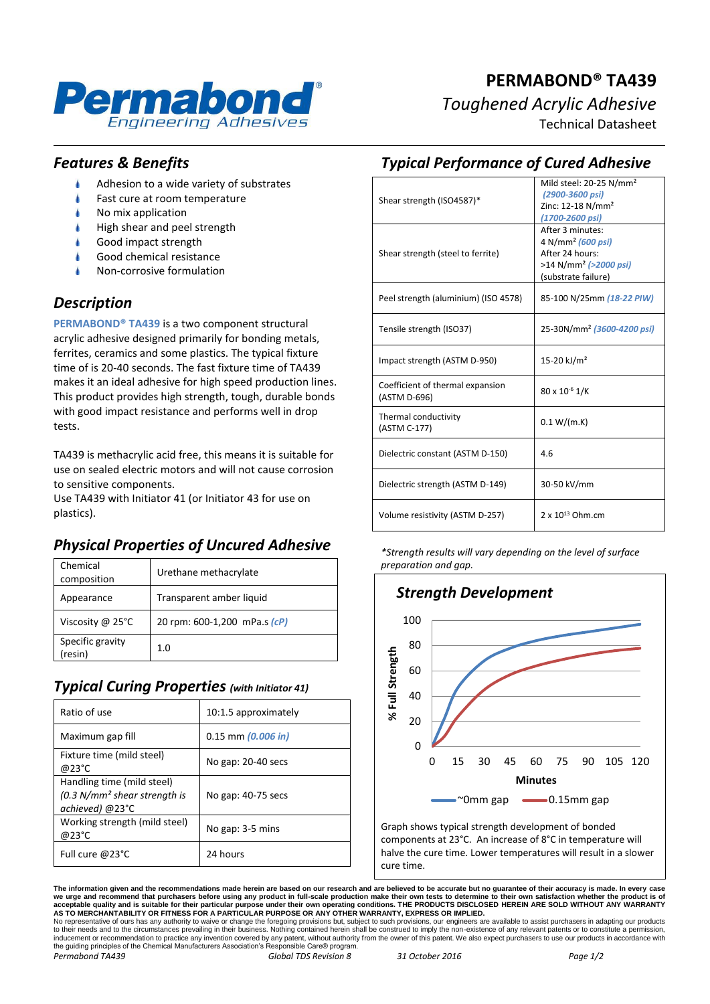

### **PERMABOND® TA439** *Toughened Acrylic Adhesive*

Technical Datasheet

#### *Features & Benefits*

- Adhesion to a wide variety of substrates
- Fast cure at room temperature
- No mix application
- High shear and peel strength
- Good impact strength
- Good chemical resistance
- Non-corrosive formulation

#### *Description*

**PERMABOND® TA439** is a two component structural acrylic adhesive designed primarily for bonding metals, ferrites, ceramics and some plastics. The typical fixture time of is 20-40 seconds. The fast fixture time of TA439 makes it an ideal adhesive for high speed production lines. This product provides high strength, tough, durable bonds with good impact resistance and performs well in drop tests.

TA439 is methacrylic acid free, this means it is suitable for use on sealed electric motors and will not cause corrosion to sensitive components.

Use TA439 with Initiator 41 (or Initiator 43 for use on plastics).

#### *Physical Properties of Uncured Adhesive*

| Chemical<br>composition     | Urethane methacrylate        |
|-----------------------------|------------------------------|
| Appearance                  | Transparent amber liquid     |
| Viscosity @ $25^{\circ}$ C  | 20 rpm: 600-1,200 mPa.s (cP) |
| Specific gravity<br>(resin) | 1. $\Omega$                  |

#### *Typical Curing Properties (with Initiator 41)*

| Ratio of use                                                                    | 10:1.5 approximately   |
|---------------------------------------------------------------------------------|------------------------|
| Maximum gap fill                                                                | $0.15$ mm $(0.006$ in) |
| Fixture time (mild steel)<br>@23°C                                              | No gap: 20-40 secs     |
| Handling time (mild steel)<br>$(0.3 N/mm2 shear strength is$<br>achieved) @23°C | No gap: 40-75 secs     |
| Working strength (mild steel)<br>@23°C                                          | No gap: 3-5 mins       |
| Full cure @23°C                                                                 | 24 hours               |

| Shear strength (ISO4587)*                        | Mild steel: 20-25 N/mm <sup>2</sup><br>(2900-3600 psi)<br>Zinc: 12-18 N/mm <sup>2</sup><br>(1700-2600 psi)                       |
|--------------------------------------------------|----------------------------------------------------------------------------------------------------------------------------------|
| Shear strength (steel to ferrite)                | After 3 minutes:<br>4 N/mm <sup>2</sup> (600 psi)<br>After 24 hours:<br>>14 N/mm <sup>2</sup> (>2000 psi)<br>(substrate failure) |
| Peel strength (aluminium) (ISO 4578)             | 85-100 N/25mm (18-22 PIW)                                                                                                        |
| Tensile strength (ISO37)                         | 25-30N/mm <sup>2</sup> (3600-4200 psi)                                                                                           |
| Impact strength (ASTM D-950)                     | 15-20 kJ/m <sup>2</sup>                                                                                                          |
| Coefficient of thermal expansion<br>(ASTM D-696) | 80 x 10 <sup>-6</sup> 1/K                                                                                                        |
| Thermal conductivity<br>(ASTM C-177)             | 0.1 W/(m.K)                                                                                                                      |
| Dielectric constant (ASTM D-150)                 | 4.6                                                                                                                              |
| Dielectric strength (ASTM D-149)                 | 30-50 kV/mm                                                                                                                      |
| Volume resistivity (ASTM D-257)                  | $2 \times 10^{13}$ Ohm.cm                                                                                                        |

*Typical Performance of Cured Adhesive*

*\*Strength results will vary depending on the level of surface preparation and gap.*



Graph shows typical strength development of bonded components at 23°C. An increase of 8°C in temperature will halve the cure time. Lower temperatures will result in a slower cure time.

The information given and the recommendations made herein are based on our research and are believed to be accurate but no guarantee of their accuracy is made. In every case<br>we urge and recommend that purchasers before usi

No representative of ours has any authority to waive or change the foregoing provisions but, subject to such provisions, our engineers are available to assist purchasers in adapting our products<br>to their needs and to the c the guiding principles of the Chemical Manufacturers Association's Responsible Care® program. *Permabond TA439 Global TDS Revision 8 31 October 2016 Page 1/2*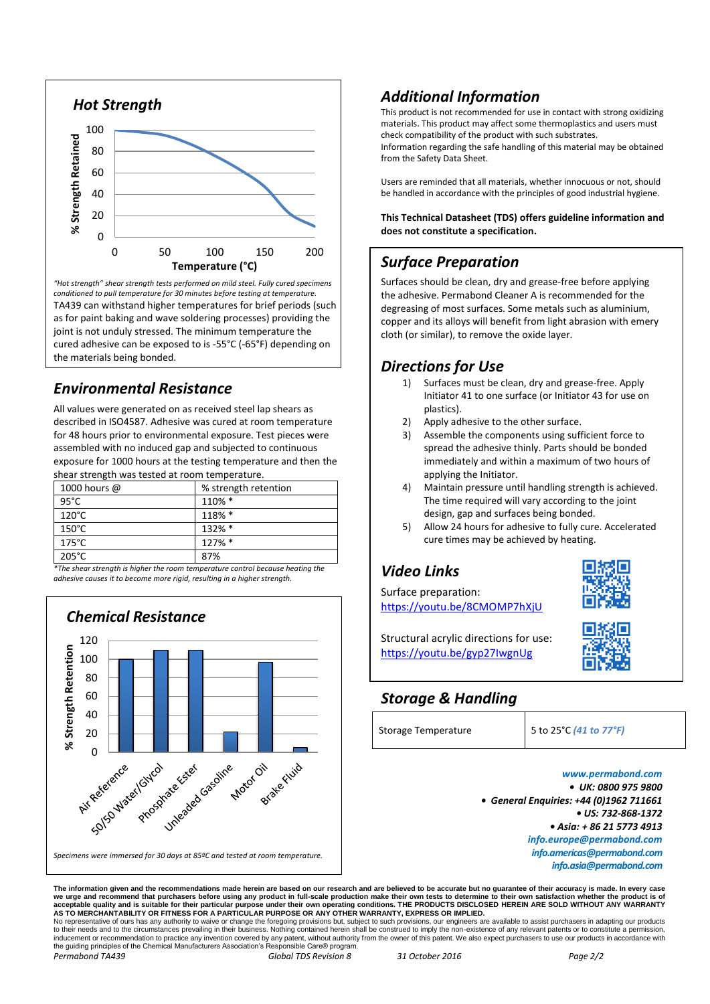

*"Hot strength" shear strength tests performed on mild steel. Fully cured specimens conditioned to pull temperature for 30 minutes before testing at temperature.* TA439 can withstand higher temperatures for brief periods (such as for paint baking and wave soldering processes) providing the joint is not unduly stressed. The minimum temperature the cured adhesive can be exposed to is -55°C (-65°F) depending on the materials being bonded.

#### *Environmental Resistance*

All values were generated on as received steel lap shears as described in ISO4587. Adhesive was cured at room temperature for 48 hours prior to environmental exposure. Test pieces were assembled with no induced gap and subjected to continuous exposure for 1000 hours at the testing temperature and then the shear strength was tested at room temperature.

| 1000 hours @    | % strength retention |
|-----------------|----------------------|
| $95^{\circ}$ C  | 110% *               |
| $120^{\circ}$ C | 118% *               |
| $150^{\circ}$ C | 132% *               |
| $175^{\circ}$ C | 127% *               |
| $205^{\circ}$ C | 87%                  |

*\*The shear strength is higher the room temperature control because heating the adhesive causes it to become more rigid, resulting in a higher strength.*



#### *Additional Information*

This product is not recommended for use in contact with strong oxidizing materials. This product may affect some thermoplastics and users must check compatibility of the product with such substrates. Information regarding the safe handling of this material may be obtained from the Safety Data Sheet.

Users are reminded that all materials, whether innocuous or not, should be handled in accordance with the principles of good industrial hygiene.

**This Technical Datasheet (TDS) offers guideline information and does not constitute a specification.**

#### *Surface Preparation*

Surfaces should be clean, dry and grease-free before applying the adhesive. Permabond Cleaner A is recommended for the degreasing of most surfaces. Some metals such as aluminium, copper and its alloys will benefit from light abrasion with emery cloth (or similar), to remove the oxide layer.

## *Directions for Use*

- Surfaces must be clean, dry and grease-free. Apply Initiator 41 to one surface (or Initiator 43 for use on plastics).
- 2) Apply adhesive to the other surface.
- Assemble the components using sufficient force to spread the adhesive thinly. Parts should be bonded immediately and within a maximum of two hours of applying the Initiator.
- 4) Maintain pressure until handling strength is achieved. The time required will vary according to the joint design, gap and surfaces being bonded.
- 5) Allow 24 hours for adhesive to fully cure. Accelerated cure times may be achieved by heating.

### *Video Links*

Surface preparation: <https://youtu.be/8CMOMP7hXjU>



Structural acrylic directions for use: <https://youtu.be/gyp27IwgnUg>

# *Storage & Handling*

*www.permabond.com • UK: 0800 975 9800 • General Enquiries: +44 (0)1962 711661 • US: 732-868-1372 • Asia: + 86 21 5773 4913 info.europe@permabond.com info.americas@permabond.com info.asia@permabond.com*

The information given and the recommendations made herein are based on our research and are believed to be accurate but no guarantee of their accuracy is made. In every case<br>we urge and recommend that purchasers before usi

No representative of ours has any authority to waive or change the foregoing provisions but, subject to such provisions, our engineers are available to assist purchasers in adapting our products<br>to their needs and to the c the guiding principles of the Chemical Manufacturers Association's Responsible Care® program. *Permabond TA439 Global TDS Revision 8 31 October 2016 Page 2/2*